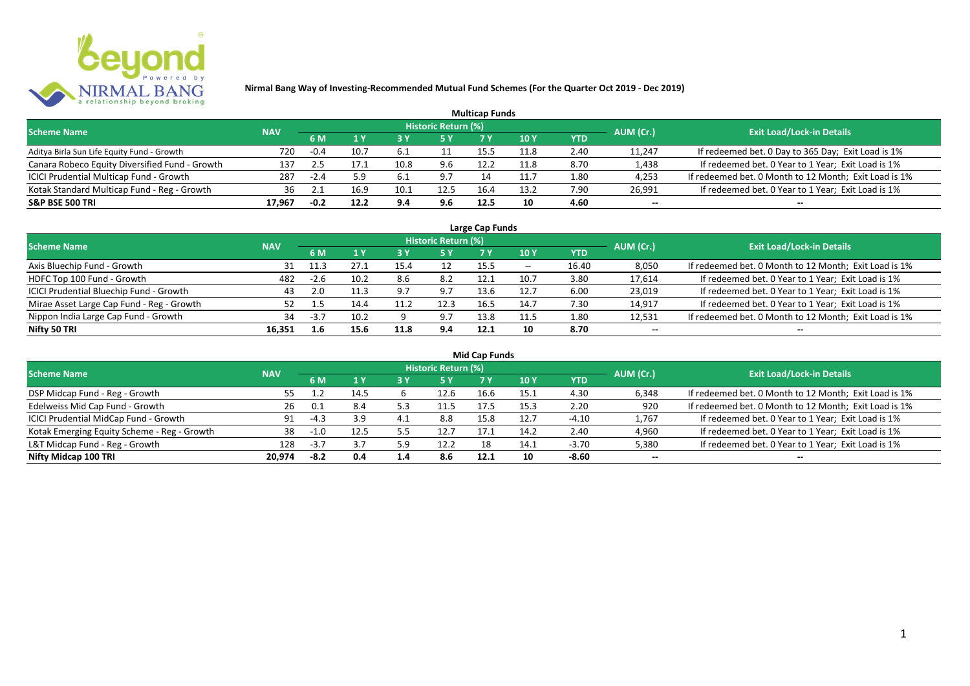

| <b>Multicap Funds</b>                          |            |        |      |      |                     |      |        |      |           |                                                       |  |  |  |  |
|------------------------------------------------|------------|--------|------|------|---------------------|------|--------|------|-----------|-------------------------------------------------------|--|--|--|--|
| <b>Scheme Name</b>                             | <b>NAV</b> |        |      |      | Historic Return (%) |      |        |      | AUM (Cr.) | <b>Exit Load/Lock-in Details</b>                      |  |  |  |  |
|                                                |            | 6 M    |      |      |                     |      | 10 Y   | YTD  |           |                                                       |  |  |  |  |
| Aditya Birla Sun Life Equity Fund - Growth     | 720        | $-0.4$ | 10.7 | 6.1  |                     | 15.5 | 11.8   | 2.40 | 11,247    | If redeemed bet. 0 Day to 365 Day; Exit Load is 1%    |  |  |  |  |
| Canara Robeco Equity Diversified Fund - Growth | 137        |        |      | 10.8 | 9.6                 | 12.2 | 11.8   | 8.70 | 1,438     | If redeemed bet. 0 Year to 1 Year; Exit Load is 1%    |  |  |  |  |
| ICICI Prudential Multicap Fund - Growth        | 287        | $-2.4$ | 5.9  | 6.⊥  |                     |      | l 1. J | 1.80 | 4,253     | If redeemed bet. 0 Month to 12 Month; Exit Load is 1% |  |  |  |  |
| Kotak Standard Multicap Fund - Reg - Growth    | 36         |        | 16.9 | 10.1 | 12.5                | 16.4 | 13.2   | 7.90 | 26,991    | If redeemed bet. 0 Year to 1 Year; Exit Load is 1%    |  |  |  |  |
| <b>S&amp;P BSE 500 TRI</b>                     | 17.967     | -0.2   | 12.2 | 9.4  | 9.6                 | 12.5 | 10     | 4.60 | --        | $- -$                                                 |  |  |  |  |

| Large Cap Funds                           |            |        |      |      |                            |      |                          |       |           |                                                       |  |  |  |
|-------------------------------------------|------------|--------|------|------|----------------------------|------|--------------------------|-------|-----------|-------------------------------------------------------|--|--|--|
| <b>Scheme Name</b>                        | <b>NAV</b> |        |      |      | <b>Historic Return (%)</b> |      |                          |       | AUM (Cr.) | <b>Exit Load/Lock-in Details</b>                      |  |  |  |
|                                           |            | 6 M    | 1 Y  |      | <b>5Y</b>                  | 7 Y  | <b>10Y</b>               | YTD   |           |                                                       |  |  |  |
| Axis Bluechip Fund - Growth               |            | 11.3   | 27.1 | 15.4 |                            | 15.5 | $\overline{\phantom{a}}$ | 16.40 | 8,050     | If redeemed bet. 0 Month to 12 Month; Exit Load is 1% |  |  |  |
| HDFC Top 100 Fund - Growth                | 482        | $-2.6$ | 10.2 | 8.6  | 8.2                        | 12.1 | 10.7                     | 3.80  | 17,614    | If redeemed bet. 0 Year to 1 Year; Exit Load is 1%    |  |  |  |
| ICICI Prudential Bluechip Fund - Growth   | 43         | 2.0    | 11.3 | 9.7  | 9.7                        | 13.6 | 12.7                     | 6.00  | 23,019    | If redeemed bet. 0 Year to 1 Year; Exit Load is 1%    |  |  |  |
| Mirae Asset Large Cap Fund - Reg - Growth | 52         |        | 14.4 |      | 12.3                       | 16.5 | 14.7                     | 7.30  | 14,917    | If redeemed bet. 0 Year to 1 Year; Exit Load is 1%    |  |  |  |
| Nippon India Large Cap Fund - Growth      | 34         | -3.7   | 10.2 |      | 9.7                        | 13.8 | 11.5                     | 1.80  | 12,531    | If redeemed bet. 0 Month to 12 Month; Exit Load is 1% |  |  |  |
| Nifty 50 TRI                              | 16.351     | 1.6    | 15.6 | 11.8 | 9.4                        | 12.1 |                          | 8.70  | $- -$     | $- -$                                                 |  |  |  |

| <b>Mid Cap Funds</b>                        |            |        |      |     |                            |      |      |            |           |                                                       |  |  |  |  |
|---------------------------------------------|------------|--------|------|-----|----------------------------|------|------|------------|-----------|-------------------------------------------------------|--|--|--|--|
| <b>Scheme Name</b>                          | <b>NAV</b> |        |      |     | <b>Historic Return (%)</b> |      |      |            | AUM (Cr.) | <b>Exit Load/Lock-in Details</b>                      |  |  |  |  |
|                                             |            | 6 M    | 1 Y  |     | <b>5 Y</b>                 |      | 10 Y | <b>YTD</b> |           |                                                       |  |  |  |  |
| DSP Midcap Fund - Reg - Growth              | 55         |        | 14.5 |     | 12.6                       | 16.6 | 15.1 | 4.30       | 6,348     | If redeemed bet. 0 Month to 12 Month; Exit Load is 1% |  |  |  |  |
| Edelweiss Mid Cap Fund - Growth             | 26         | 0.1    | 8.4  | 5.3 | 11.5                       | 17.5 | 15.3 | 2.20       | 920       | If redeemed bet. 0 Month to 12 Month; Exit Load is 1% |  |  |  |  |
| ICICI Prudential MidCap Fund - Growth       | 91         | -4.3   | 3.9  | 4.1 | 8.8                        | 15.8 | 12.7 | $-4.10$    | 1,767     | If redeemed bet. 0 Year to 1 Year; Exit Load is 1%    |  |  |  |  |
| Kotak Emerging Equity Scheme - Reg - Growth | 38         |        | 12.5 | 5.5 | 12.7                       | 17.1 | 14.2 | 2.40       | 4,960     | If redeemed bet. 0 Year to 1 Year; Exit Load is 1%    |  |  |  |  |
| L&T Midcap Fund - Reg - Growth              | 128        | $-3.7$ |      | 5.9 | 12.2                       | 18   | 14.1 | $-3.70$    | 5,380     | If redeemed bet. 0 Year to 1 Year; Exit Load is 1%    |  |  |  |  |
| Nifty Midcap 100 TRI                        | 20.974     | -8.2   | 0.4  | 1.4 | 8.6                        | 12.1 | 10   | $-8.60$    | $- -$     | $- -$                                                 |  |  |  |  |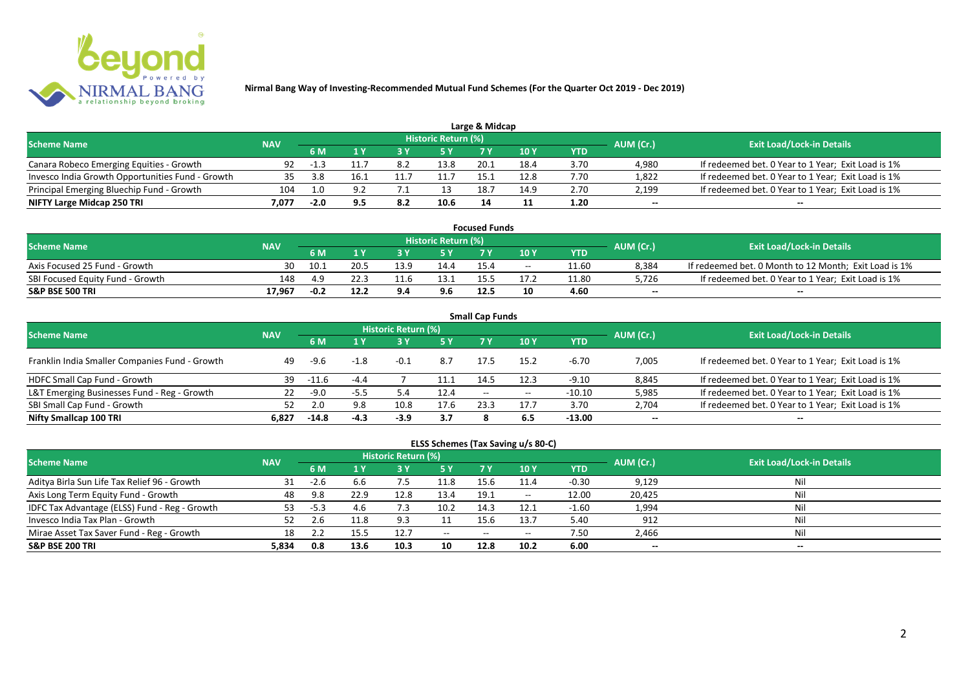

|                                                  |            |        |      |     |                            | Large & Midcap |      |      |           |                                                    |
|--------------------------------------------------|------------|--------|------|-----|----------------------------|----------------|------|------|-----------|----------------------------------------------------|
| <b>Scheme Name</b>                               | <b>NAV</b> |        |      |     | <b>Historic Return (%)</b> |                |      |      | AUM (Cr.) | <b>Exit Load/Lock-in Details</b>                   |
|                                                  |            | 6 M    |      |     | 5 Y                        |                |      | YTD  |           |                                                    |
| Canara Robeco Emerging Equities - Growth         | 92         | $-1.3$ |      | 8.2 | 13.8                       | 20.1           | 18.4 | 3.70 | 4.980     | If redeemed bet. 0 Year to 1 Year; Exit Load is 1% |
| Invesco India Growth Opportunities Fund - Growth | 35.        | 3.8    | 16.1 |     |                            |                | 12.8 | 7.70 | 1,822     | If redeemed bet. 0 Year to 1 Year; Exit Load is 1% |
| Principal Emerging Bluechip Fund - Growth        | 104        | 1.0    |      |     |                            | 18.7           | 14.9 | 2.70 | 2,199     | If redeemed bet. 0 Year to 1 Year; Exit Load is 1% |
| NIFTY Large Midcap 250 TRI                       | 7.077      | $-2.0$ |      | 8.2 | 10.6                       | 14             |      | 1.20 | $- -$     | $- -$                                              |

| <b>Focused Funds</b>             |            |        |      |      |                            |      |       |       |           |                                                       |  |  |  |
|----------------------------------|------------|--------|------|------|----------------------------|------|-------|-------|-----------|-------------------------------------------------------|--|--|--|
| <b>Scheme Name</b>               | <b>NAV</b> |        |      |      | <b>Historic Return (%)</b> |      |       |       | AUM (Cr.) | <b>Exit Load/Lock-in Details</b>                      |  |  |  |
|                                  |            | 6 M    |      |      | 5 Y                        |      | 10 Y  | YTD   |           |                                                       |  |  |  |
| Axis Focused 25 Fund - Growth    | 30         | 10.1   | 20.5 | 13.9 | 14.4                       | 15.4 | $- -$ | 11.60 | 8,384     | If redeemed bet. 0 Month to 12 Month; Exit Load is 1% |  |  |  |
| SBI Focused Equity Fund - Growth | 148        | 4.9    |      | 11.6 | 13.1                       |      |       | 11.80 | 5,726     | If redeemed bet. 0 Year to 1 Year; Exit Load is 1%    |  |  |  |
| <b>S&amp;P BSE 500 TRI</b>       | 17.967     | $-0.2$ | 12.2 | 9.4  | 9.6                        | 12.5 | 10    | 4.60  | $- -$     | $-$                                                   |  |  |  |

| <b>Small Cap Funds</b>                         |            |         |        |                     |      |                          |       |            |           |                                                    |  |  |  |
|------------------------------------------------|------------|---------|--------|---------------------|------|--------------------------|-------|------------|-----------|----------------------------------------------------|--|--|--|
| <b>Scheme Name</b>                             | <b>NAV</b> |         |        | Historic Return (%) |      |                          |       |            | AUM (Cr.) | <b>Exit Load/Lock-in Details</b>                   |  |  |  |
|                                                |            |         |        |                     | 5 Y  | 7 Y                      | 10Y   | <b>YTD</b> |           |                                                    |  |  |  |
| Franklin India Smaller Companies Fund - Growth | 49         | -9.6    | $-1.8$ | $-0.1$              | 8.7  | 17.5                     | 15.2  | $-6.70$    | 7,005     | If redeemed bet. 0 Year to 1 Year; Exit Load is 1% |  |  |  |
| HDFC Small Cap Fund - Growth                   | 39         | $-11.6$ | $-4.4$ |                     | 11.1 | 14.5                     | 12.3  | $-9.10$    | 8,845     | If redeemed bet. 0 Year to 1 Year; Exit Load is 1% |  |  |  |
| L&T Emerging Businesses Fund - Reg - Growth    | 22         | $-9.0$  | $-5.5$ | 5.4                 | 12.4 | $\overline{\phantom{a}}$ | $- -$ | $-10.10$   | 5,985     | If redeemed bet. 0 Year to 1 Year; Exit Load is 1% |  |  |  |
| SBI Small Cap Fund - Growth                    |            |         | 9.8    | 10.8                | 17.6 | 23.3                     | 17.7  | 3.70       | 2,704     | If redeemed bet. 0 Year to 1 Year; Exit Load is 1% |  |  |  |
| Nifty Smallcap 100 TRI                         | 6.827      | $-14.8$ | $-4.3$ | $-3.9$              | 3.7  |                          | 6.5   | $-13.00$   | $- -$     | --                                                 |  |  |  |

## **ELSS Schemes (Tax Saving u/s 80-C)**

| <b>Scheme Name</b>                            | <b>NAV</b> |      |      | <b>Historic Return (%)</b> |           |       |            |         | AUM (Cr.) | <b>Exit Load/Lock-in Details</b> |
|-----------------------------------------------|------------|------|------|----------------------------|-----------|-------|------------|---------|-----------|----------------------------------|
|                                               |            | 6 M  |      |                            | <b>5Y</b> | 7 Y   | <b>10Y</b> | YTD     |           |                                  |
| Aditya Birla Sun Life Tax Relief 96 - Growth  | 31         | -2.b | 6.6  |                            | 11.8      | 15.6  | 11.4       | $-0.30$ | 9,129     | Nil                              |
| Axis Long Term Equity Fund - Growth           | 48         | 9.8  | 22.9 | 12.8                       | 13.4      | 19.1  | $- -$      | 12.00   | 20,425    | Nil                              |
| IDFC Tax Advantage (ELSS) Fund - Reg - Growth | 53         | -5.3 | 4.6  |                            | 10.2      | 14.3  | 12.1       | $-1.60$ | 1,994     | Nil                              |
| Invesco India Tax Plan - Growth               |            |      | 11.8 | 9 3                        |           | 15.6  | 13.7       | 5.40    | 912       | Nil                              |
| Mirae Asset Tax Saver Fund - Reg - Growth     | 18         |      |      | 12.7                       | $-$       | $- -$ | $- -$      | 7.50    | 2,466     | Nil                              |
| <b>S&amp;P BSE 200 TRI</b>                    | 5,834      | 0.8  | 13.6 | 10.3                       | 10        | 12.8  | 10.2       | 6.00    | $- -$     | $- -$                            |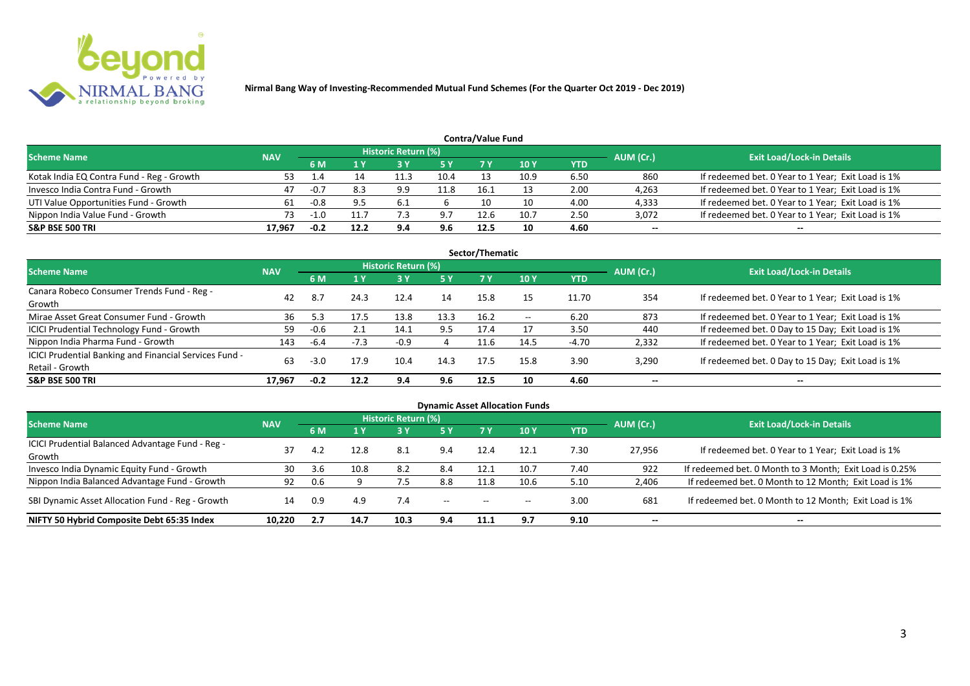

| <b>Contra/Value Fund</b>                  |            |        |      |                            |      |      |      |            |           |                                                    |  |  |  |  |
|-------------------------------------------|------------|--------|------|----------------------------|------|------|------|------------|-----------|----------------------------------------------------|--|--|--|--|
| <b>Scheme Name</b>                        | <b>NAV</b> |        |      | <b>Historic Return (%)</b> |      |      |      |            | AUM (Cr.) | <b>Exit Load/Lock-in Details</b>                   |  |  |  |  |
|                                           |            | 6 M    | 1 Y  |                            | 5 Y  | 7 Y  | 10Y  | <b>YTD</b> |           |                                                    |  |  |  |  |
| Kotak India EQ Contra Fund - Reg - Growth | 53         | 1.4    |      | 11.3                       | 10.4 |      | 10.9 | 6.50       | 860       | If redeemed bet. 0 Year to 1 Year; Exit Load is 1% |  |  |  |  |
| Invesco India Contra Fund - Growth        | 47         | $-0.7$ | 8.3  | 9.9                        | 11.8 | 16.1 |      | 2.00       | 4,263     | If redeemed bet. 0 Year to 1 Year; Exit Load is 1% |  |  |  |  |
| UTI Value Opportunities Fund - Growth     |            | $-0.8$ |      |                            |      |      | 10   | 4.00       | 4,333     | If redeemed bet. 0 Year to 1 Year; Exit Load is 1% |  |  |  |  |
| Nippon India Value Fund - Growth          | 73         |        |      |                            | Q7   | 12.6 | 10.7 | 2.50       | 3,072     | If redeemed bet. 0 Year to 1 Year; Exit Load is 1% |  |  |  |  |
| <b>S&amp;P BSE 500 TRI</b>                | 17.967     | $-0.2$ | 12.2 | 9.4                        | 9.6  | 12.5 | 10   | 4.60       | $- -$     | $-$                                                |  |  |  |  |

| Sector/Thematic                                        |            |        |        |                     |           |      |            |            |                          |                                                    |  |  |  |
|--------------------------------------------------------|------------|--------|--------|---------------------|-----------|------|------------|------------|--------------------------|----------------------------------------------------|--|--|--|
| Scheme Name                                            | <b>NAV</b> |        |        | Historic Return (%) |           |      |            |            | AUM (Cr.)                | <b>Exit Load/Lock-in Details</b>                   |  |  |  |
|                                                        |            | 6 M    | 1 Y    | <b>73 Y</b>         | <b>5Y</b> | 7Y   | <b>10Y</b> | <b>YTD</b> |                          |                                                    |  |  |  |
| Canara Robeco Consumer Trends Fund - Reg -             | 42         | 8.7    | 24.3   | 12.4                | 14        | 15.8 |            | 11.70      | 354                      | If redeemed bet. 0 Year to 1 Year; Exit Load is 1% |  |  |  |
| Growth                                                 |            |        |        |                     |           |      |            |            |                          |                                                    |  |  |  |
| Mirae Asset Great Consumer Fund - Growth               | 36         | 5.3    | 17.5   | 13.8                | 13.3      | 16.2 | $- -$      | 6.20       | 873                      | If redeemed bet. 0 Year to 1 Year; Exit Load is 1% |  |  |  |
| <b>ICICI Prudential Technology Fund - Growth</b>       | 59         | $-0.6$ |        | 14.1                | 9.5       | 17.4 |            | 3.50       | 440                      | If redeemed bet. 0 Day to 15 Day; Exit Load is 1%  |  |  |  |
| Nippon India Pharma Fund - Growth                      | 143        | -6.4   | $-7.3$ | $-0.9$              | 4         | 11.6 | 14.5       | $-4.70$    | 2,332                    | If redeemed bet. 0 Year to 1 Year; Exit Load is 1% |  |  |  |
| ICICI Prudential Banking and Financial Services Fund - |            |        |        |                     |           |      |            |            |                          |                                                    |  |  |  |
| Retail - Growth                                        | 63         | $-3.0$ | 17.9   | 10.4                | 14.3      | 17.5 | 15.8       | 3.90       | 3,290                    | If redeemed bet. 0 Day to 15 Day; Exit Load is 1%  |  |  |  |
| <b>S&amp;P BSE 500 TRI</b>                             | 17.967     | $-0.2$ | 12.2   | 9.4                 | 9.6       | 12.5 | 10         | 4.60       | $\overline{\phantom{a}}$ | $\overline{\phantom{a}}$                           |  |  |  |

| <b>Dynamic Asset Allocation Funds</b>            |            |     |      |                            |            |                                                |                 |            |           |                                                         |  |  |  |
|--------------------------------------------------|------------|-----|------|----------------------------|------------|------------------------------------------------|-----------------|------------|-----------|---------------------------------------------------------|--|--|--|
| <b>Scheme Name</b>                               | <b>NAV</b> |     |      | <b>Historic Return (%)</b> |            |                                                |                 |            | AUM (Cr.) | <b>Exit Load/Lock-in Details</b>                        |  |  |  |
|                                                  |            | 6 M | 1 Y  | 73 Y                       | <b>5 Y</b> | <b>7 Y</b>                                     | 10 <sub>Y</sub> | <b>YTD</b> |           |                                                         |  |  |  |
| ICICI Prudential Balanced Advantage Fund - Reg - | 37         | 4.2 | 12.8 | -8.1                       | 9.4        | 12.4                                           | 12.1            | 7.30       | 27,956    | If redeemed bet. 0 Year to 1 Year; Exit Load is 1%      |  |  |  |
| Growth                                           |            |     |      |                            |            |                                                |                 |            |           |                                                         |  |  |  |
| Invesco India Dynamic Equity Fund - Growth       | 30         | 3.6 | 10.8 | 8.2                        | 8.4        | 12.1                                           | 10.7            | 7.40       | 922       | If redeemed bet. 0 Month to 3 Month; Exit Load is 0.25% |  |  |  |
| Nippon India Balanced Advantage Fund - Growth    | 92         | 0.6 |      |                            | 8.8        | 11.8                                           | 10.6            | 5.10       | 2,406     | If redeemed bet. 0 Month to 12 Month; Exit Load is 1%   |  |  |  |
| SBI Dynamic Asset Allocation Fund - Reg - Growth | 14         | 0.9 | 4.9  | 7.4                        | $\sim$     | $\hspace{0.1mm}-\hspace{0.1mm}-\hspace{0.1mm}$ | $- -$           | 3.00       | 681       | If redeemed bet. 0 Month to 12 Month; Exit Load is 1%   |  |  |  |
| NIFTY 50 Hybrid Composite Debt 65:35 Index       | 10.220     | 2.7 | 14.7 | 10.3                       | 9.4        | 11.1                                           | 9.7             | 9.10       | $- -$     | $- -$                                                   |  |  |  |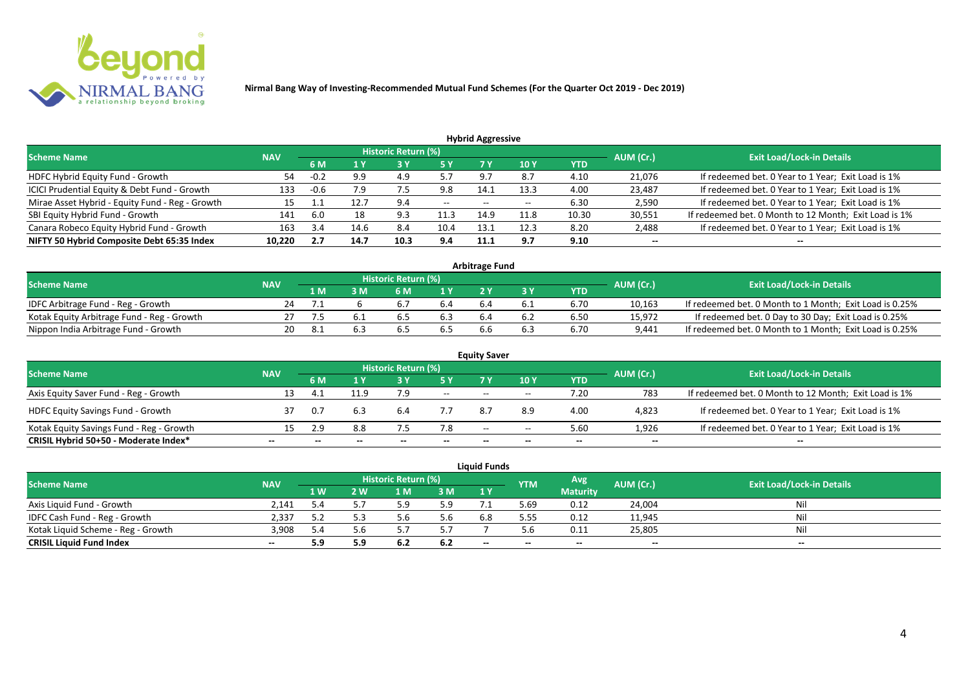

| <b>Hybrid Aggressive</b>                        |            |        |      |                            |       |                          |                 |            |           |                                                       |  |  |  |
|-------------------------------------------------|------------|--------|------|----------------------------|-------|--------------------------|-----------------|------------|-----------|-------------------------------------------------------|--|--|--|
| <b>Scheme Name</b>                              | <b>NAV</b> |        |      | <b>Historic Return (%)</b> |       |                          |                 |            | AUM (Cr.) | <b>Exit Load/Lock-in Details</b>                      |  |  |  |
|                                                 |            | 6 M    |      |                            | 5 Y   | 7 Y                      | 10 <sub>1</sub> | <b>YTD</b> |           |                                                       |  |  |  |
| HDFC Hybrid Equity Fund - Growth                | 54         | $-0.2$ | 9.9  | 4.9                        | 57    | 9.7                      | 8.7             | 4.10       | 21,076    | If redeemed bet. 0 Year to 1 Year; Exit Load is 1%    |  |  |  |
| ICICI Prudential Equity & Debt Fund - Growth    | 133        | $-0.6$ | 7.9  | ر.,                        | 9.8   | 14.1                     | 13.3            | 4.00       | 23,487    | If redeemed bet. 0 Year to 1 Year; Exit Load is 1%    |  |  |  |
| Mirae Asset Hybrid - Equity Fund - Reg - Growth | 15         |        | 12.7 | 9.4                        | $- -$ | $\overline{\phantom{a}}$ | --              | 6.30       | 2,590     | If redeemed bet. 0 Year to 1 Year; Exit Load is 1%    |  |  |  |
| SBI Equity Hybrid Fund - Growth                 | 141        | 6.0    | 18   | 9.3                        | 11.3  | 14.9                     | 11.8            | 10.30      | 30,551    | If redeemed bet. 0 Month to 12 Month; Exit Load is 1% |  |  |  |
| Canara Robeco Equity Hybrid Fund - Growth       | 163        | 3.4    | 14.6 | 8.4                        | 10.4  | 13.1                     | 12.3            | 8.20       | 2,488     | If redeemed bet. 0 Year to 1 Year; Exit Load is 1%    |  |  |  |
| NIFTY 50 Hybrid Composite Debt 65:35 Index      | 10.220     | 2.7    | 14.7 | 10.3                       | 9.4   | 11.1                     | 9.7             | 9.10       | $- -$     | $- -$                                                 |  |  |  |

| <b>Arbitrage Fund</b>                      |            |     |     |                            |                  |     |     |      |           |                                                         |  |  |  |
|--------------------------------------------|------------|-----|-----|----------------------------|------------------|-----|-----|------|-----------|---------------------------------------------------------|--|--|--|
| <b>Scheme Name</b>                         | <b>NAV</b> |     |     | <b>Historic Return (%)</b> |                  |     |     |      | AUM (Cr.) | <b>Exit Load/Lock-in Details</b>                        |  |  |  |
|                                            |            | L M | : M | 6 M                        | $\overline{1}$ Y |     |     | YTD  |           |                                                         |  |  |  |
| IDFC Arbitrage Fund - Reg - Growth         | 24         |     |     | $b_{11}$                   | 6.4              | b.4 | b.1 | 6.70 | 10,163    | If redeemed bet. 0 Month to 1 Month; Exit Load is 0.25% |  |  |  |
| Kotak Equity Arbitrage Fund - Reg - Growth |            |     |     | 6.5                        |                  |     |     | 6.50 | 15,972    | If redeemed bet. 0 Day to 30 Day; Exit Load is 0.25%    |  |  |  |
| Nippon India Arbitrage Fund - Growth       |            |     |     | . ხ.                       | 6.5              | b.b |     | 6.70 | 9,441     | If redeemed bet. 0 Month to 1 Month; Exit Load is 0.25% |  |  |  |

| <b>Equity Saver</b>                      |            |       |      |                            |        |       |       |            |           |                                                       |  |  |  |
|------------------------------------------|------------|-------|------|----------------------------|--------|-------|-------|------------|-----------|-------------------------------------------------------|--|--|--|
| <b>Scheme Name</b>                       | <b>NAV</b> |       |      | <b>Historic Return (%)</b> |        |       |       |            | AUM (Cr.) | <b>Exit Load/Lock-in Details</b>                      |  |  |  |
|                                          |            | 6 M   |      |                            | 5 Y    | 7V    | 10Y   | <b>YTD</b> |           |                                                       |  |  |  |
| Axis Equity Saver Fund - Reg - Growth    | 13         |       | L1.9 | 7.9                        | $\sim$ | $- -$ | $- -$ | 1.20       | 783       | If redeemed bet. 0 Month to 12 Month; Exit Load is 1% |  |  |  |
| <b>HDFC Equity Savings Fund - Growth</b> |            | - 0.7 | 6.3  | 6.4                        |        |       | 8.9   | 4.00       | 4,823     | If redeemed bet. 0 Year to 1 Year; Exit Load is 1%    |  |  |  |
| Kotak Equity Savings Fund - Reg - Growth | 15         | 2.9   | 8.8  |                            | 7.8    | $- -$ | $- -$ | 5.60       | 1.926     | If redeemed bet. 0 Year to 1 Year; Exit Load is 1%    |  |  |  |
| CRISIL Hybrid 50+50 - Moderate Index*    | $- -$      |       |      |                            |        | --    | $- -$ | $- -$      | $- -$     | $- -$                                                 |  |  |  |

|                                    |            |     |     |                            |     | Liauid Funds             |            |                 |           |                                  |
|------------------------------------|------------|-----|-----|----------------------------|-----|--------------------------|------------|-----------------|-----------|----------------------------------|
| <b>Scheme Name</b>                 | <b>NAV</b> |     |     | <b>Historic Return (%)</b> |     |                          | <b>YTM</b> | Avg             | AUM (Cr.) | <b>Exit Load/Lock-in Details</b> |
|                                    |            | 1 W | ! W | 1 <sub>M</sub>             | 3 M | 1Y                       |            | <b>Maturity</b> |           |                                  |
| Axis Liquid Fund - Growth          | 2.141      |     |     |                            | 5.9 |                          | 5.69       | 0.12            | 24,004    | Nil                              |
| IDFC Cash Fund - Reg - Growth      | 2.337      |     |     | 5.6                        | 5.6 | 6.8                      | 5.55       | 0.12            | 11,945    | Nil                              |
| Kotak Liquid Scheme - Reg - Growth | 3.908      | 5 A | 5.b |                            |     |                          |            | 0.11            | 25,805    | Ni                               |
| <b>CRISIL Liquid Fund Index</b>    | $- -$      | 5.9 | 5.9 | 6.Z                        | 6.2 | $\overline{\phantom{a}}$ | $- -$      | $-$             | $-$       | $-$                              |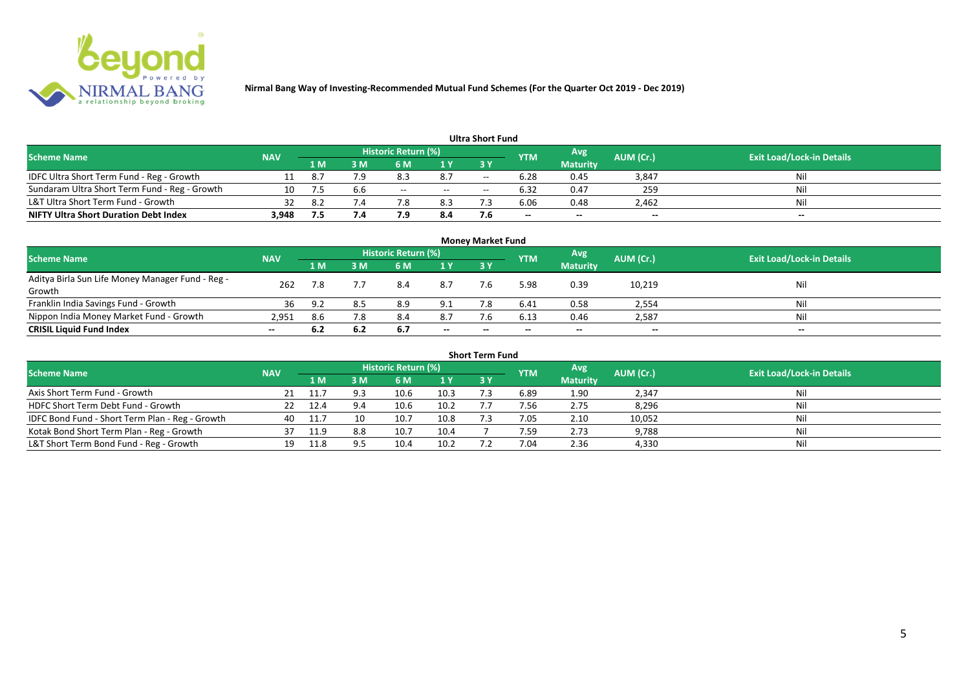

|                                               |            |     |                |                     |     | <b>Ultra Short Fund</b> |                          |                 |           |                                  |
|-----------------------------------------------|------------|-----|----------------|---------------------|-----|-------------------------|--------------------------|-----------------|-----------|----------------------------------|
| <b>Scheme Name</b>                            | <b>NAV</b> |     |                | Historic Return (%) |     |                         | <b>YTM</b>               | Avg             | AUM (Cr.) | <b>Exit Load/Lock-in Details</b> |
|                                               |            | 1 M | sм             | 6 M                 | 1 Y | 3 Y                     |                          | <b>Maturity</b> |           |                                  |
| IDFC Ultra Short Term Fund - Reg - Growth     |            |     |                | 8.3                 | 8.7 | $- -$                   | 6.28                     | 0.45            | 3,847     | Nil                              |
| Sundaram Ultra Short Term Fund - Reg - Growth |            |     |                | $- -$               | $-$ | $- -$                   | 6.32                     | 0.47            | 259       | Nil                              |
| L&T Ultra Short Term Fund - Growth            | 32         | 8.2 | $^{\prime}$ .4 | 7.8                 | 8.3 |                         | 6.06                     | 0.48            | 2,462     | Nil                              |
| <b>NIFTY Ultra Short Duration Debt Index</b>  | 3,948      |     | $\sqrt{.4}$    | 7.9                 | 8.4 |                         | $\overline{\phantom{a}}$ | $-$             | $- -$     | $- -$                            |

|                                                            |            |     |     |                     |       | <b>Money Market Fund</b> |            |                 |           |                                  |
|------------------------------------------------------------|------------|-----|-----|---------------------|-------|--------------------------|------------|-----------------|-----------|----------------------------------|
| <b>Scheme Name</b>                                         | <b>NAV</b> |     |     | Historic Return (%) |       |                          | <b>YTM</b> | Avg             | AUM (Cr.) | <b>Exit Load/Lock-in Details</b> |
|                                                            |            | 1 M | 3 M | 6 M                 | 1Y    | 3Y                       |            | <b>Maturity</b> |           |                                  |
| Aditya Birla Sun Life Money Manager Fund - Reg -<br>Growth | 262        | 7.8 |     | 8.4                 | 8.7   | 7.6                      | 5.98       | 0.39            | 10,219    | Nil                              |
| Franklin India Savings Fund - Growth                       | 36         | 9.2 |     | 8.9                 | 9.1   |                          | 6.41       | 0.58            | 2,554     | Nil                              |
| Nippon India Money Market Fund - Growth                    | 2,951      | 8.6 | 7.8 | 8.4                 | 8.7   | 7.6                      | 6.13       | 0.46            | 2,587     | Nil                              |
| <b>CRISIL Liquid Fund Index</b>                            | $- -$      | 6.2 | 6.2 | 6.7                 | $- -$ | $- -$                    | $- -$      | $- -$           | $-$       | $- -$                            |

| <b>Short Term Fund</b>                          |            |      |     |                     |      |            |            |                 |           |                                  |  |  |  |
|-------------------------------------------------|------------|------|-----|---------------------|------|------------|------------|-----------------|-----------|----------------------------------|--|--|--|
| <b>Scheme Name</b>                              | <b>NAV</b> |      |     | Historic Return (%) |      |            | <b>YTM</b> | Avg             | AUM (Cr.) | <b>Exit Load/Lock-in Details</b> |  |  |  |
|                                                 |            | 1 M. | 3 M | 6 M                 | 1Y   | <b>3 Y</b> |            | <b>Maturity</b> |           |                                  |  |  |  |
| Axis Short Term Fund - Growth                   |            |      | a a | 10.6                | 10.3 |            | 6.89       | 1.90            | 2,347     | Nil                              |  |  |  |
| HDFC Short Term Debt Fund - Growth              |            | 12.4 | 9.4 | 10.6                | 10.2 |            | 7.56       | 2.75            | 8,296     | Nil                              |  |  |  |
| IDFC Bond Fund - Short Term Plan - Reg - Growth | 40         | 11.7 | 10  | 10.7                | 10.8 |            | 7.05       | 2.10            | 10,052    | Nil                              |  |  |  |
| Kotak Bond Short Term Plan - Reg - Growth       | 37         | 11.9 | 8.8 | 10.7                | 10.4 |            | 7.59       | 2.73            | 9,788     | Nil                              |  |  |  |
| L&T Short Term Bond Fund - Reg - Growth         |            | 11.8 |     | 10.4                | 10.2 |            | 7.04       | 2.36            | 4,330     | Nil                              |  |  |  |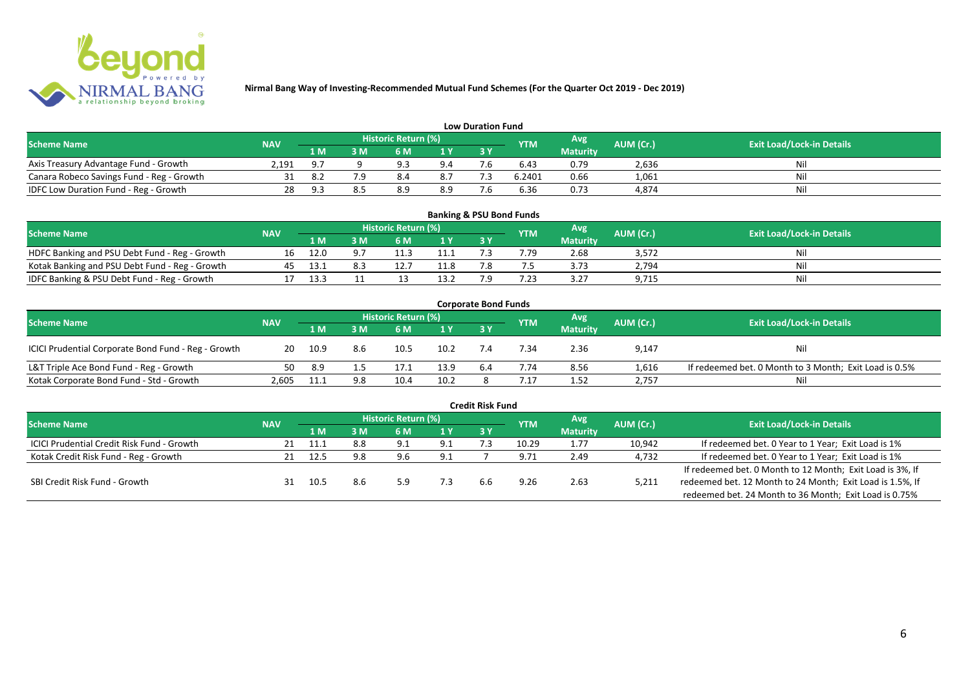

|                                           |            |     |    |                     |     | <b>Low Duration Fund</b> |            |                 |           |                                  |
|-------------------------------------------|------------|-----|----|---------------------|-----|--------------------------|------------|-----------------|-----------|----------------------------------|
| <b>Scheme Name</b>                        | <b>NAV</b> |     |    | Historic Return (%) |     |                          | <b>YTM</b> | Avg'            | AUM (Cr.) | <b>Exit Load/Lock-in Details</b> |
|                                           |            | 1 M | sм | 6 M                 | 1 Y | 3 Y                      |            | <b>Maturity</b> |           |                                  |
| Axis Treasury Advantage Fund - Growth     | 2.191      | 9.7 |    | Q 3                 | 9.4 |                          | 6.43       | 0.79            | 2,636     | Nil                              |
| Canara Robeco Savings Fund - Reg - Growth |            | 8.  |    | 8.4                 | 8.7 |                          | 6.2401     | 0.66            | 1,061     | Nil                              |
| IDFC Low Duration Fund - Reg - Growth     |            | . Q |    | 8.9                 | 8.9 | - -                      | 6.36       | 0.73            | 4,874     | Nil                              |

| <b>Banking &amp; PSU Bond Funds</b>            |            |      |    |                     |      |  |            |                 |           |                                  |  |  |  |  |
|------------------------------------------------|------------|------|----|---------------------|------|--|------------|-----------------|-----------|----------------------------------|--|--|--|--|
| <b>Scheme Name</b>                             | <b>NAV</b> |      |    | Historic Return (%) |      |  | <b>YTM</b> | Avg             | AUM (Cr.) | <b>Exit Load/Lock-in Details</b> |  |  |  |  |
|                                                |            | 1 M  | ١M | 6 M                 |      |  |            | <b>Maturity</b> |           |                                  |  |  |  |  |
| HDFC Banking and PSU Debt Fund - Reg - Growth  |            |      |    |                     |      |  | 7.79       | 2.68            | 3,572     | Nil                              |  |  |  |  |
| Kotak Banking and PSU Debt Fund - Reg - Growth |            |      |    |                     | 11.8 |  |            | 3.73            | 2,794     | Nil                              |  |  |  |  |
| IDFC Banking & PSU Debt Fund - Reg - Growth    |            | 13.3 |    |                     | 13 2 |  | 7.23       | 3.27            | 9,715     | Nil                              |  |  |  |  |

| <b>Corporate Bond Funds</b>                         |            |      |     |                            |      |       |            |                 |           |                                                        |  |  |  |  |
|-----------------------------------------------------|------------|------|-----|----------------------------|------|-------|------------|-----------------|-----------|--------------------------------------------------------|--|--|--|--|
| <b>Scheme Name</b>                                  | <b>NAV</b> |      |     | <b>Historic Return (%)</b> |      |       | <b>YTM</b> | Avg             | AUM (Cr.) | <b>Exit Load/Lock-in Details</b>                       |  |  |  |  |
|                                                     |            | 1 M  | ١M  | 6 M                        | 1Y   | $-3V$ |            | <b>Maturity</b> |           |                                                        |  |  |  |  |
| ICICI Prudential Corporate Bond Fund - Reg - Growth | 20         | 10.9 | 8.6 | 10.5                       | 10.2 |       | 7.34       | 2.36            | 9,147     | Nil                                                    |  |  |  |  |
| L&T Triple Ace Bond Fund - Reg - Growth             | 50         | -8.9 |     |                            | 13.9 | 6.4   | 7.74       | 8.56            | 1,616     | If redeemed bet. 0 Month to 3 Month; Exit Load is 0.5% |  |  |  |  |
| Kotak Corporate Bond Fund - Std - Growth            | 2.605      |      | 9.8 | 10.4                       | 10.2 |       |            | 1.52            | 2,757     | Nil                                                    |  |  |  |  |

| <b>Credit Risk Fund</b>                    |            |      |     |                     |     |           |            |                 |           |                                                           |  |  |  |
|--------------------------------------------|------------|------|-----|---------------------|-----|-----------|------------|-----------------|-----------|-----------------------------------------------------------|--|--|--|
| <b>Scheme Name</b>                         | <b>NAV</b> |      |     | Historic Return (%) |     |           | <b>YTM</b> | Avg.            | AUM (Cr.) | <b>Exit Load/Lock-in Details</b>                          |  |  |  |
|                                            |            | 1 M  | 3 M | 6 M                 | 1 Y | <b>3Y</b> |            | <b>Maturity</b> |           |                                                           |  |  |  |
| ICICI Prudential Credit Risk Fund - Growth | 21         | 11.1 | 8.8 | 9.1                 | 9.1 |           | 10.29      | 1.77            | 10,942    | If redeemed bet. 0 Year to 1 Year; Exit Load is 1%        |  |  |  |
| Kotak Credit Risk Fund - Reg - Growth      | 21         | 12.5 | 9.8 | 9.6                 | 9.1 |           | 9.71       | 2.49            | 4,732     | If redeemed bet. 0 Year to 1 Year; Exit Load is 1%        |  |  |  |
|                                            |            |      |     |                     |     |           |            |                 |           | If redeemed bet. 0 Month to 12 Month; Exit Load is 3%, If |  |  |  |
| SBI Credit Risk Fund - Growth              | 31         | 10.5 | 8.6 | 5.9                 | 7З  | h.h       | 9.26       | 2.63            | 5,211     | redeemed bet. 12 Month to 24 Month; Exit Load is 1.5%, If |  |  |  |
|                                            |            |      |     |                     |     |           |            |                 |           | redeemed bet. 24 Month to 36 Month; Exit Load is 0.75%    |  |  |  |